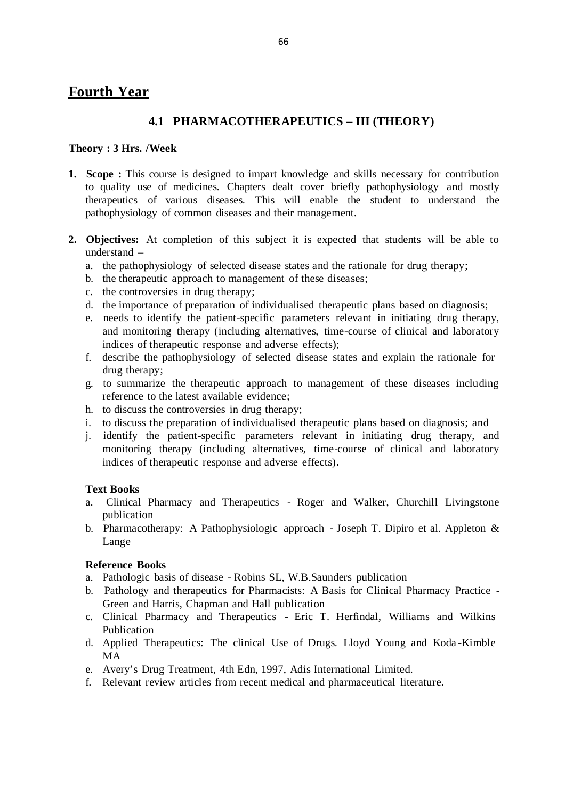# **Fourth Year**

## **4.1 PHARMACOTHERAPEUTICS – III (THEORY)**

#### **Theory : 3 Hrs. /Week**

- **1. Scope :** This course is designed to impart knowledge and skills necessary for contribution to quality use of medicines. Chapters dealt cover briefly pathophysiology and mostly therapeutics of various diseases. This will enable the student to understand the pathophysiology of common diseases and their management.
- **2. Objectives:** At completion of this subject it is expected that students will be able to understand –
	- a. the pathophysiology of selected disease states and the rationale for drug therapy;
	- b. the therapeutic approach to management of these diseases;
	- c. the controversies in drug therapy;
	- d. the importance of preparation of individualised therapeutic plans based on diagnosis;
	- e. needs to identify the patient-specific parameters relevant in initiating drug therapy, and monitoring therapy (including alternatives, time-course of clinical and laboratory indices of therapeutic response and adverse effects);
	- f. describe the pathophysiology of selected disease states and explain the rationale for drug therapy;
	- g. to summarize the therapeutic approach to management of these diseases including reference to the latest available evidence;
	- h. to discuss the controversies in drug therapy;
	- i. to discuss the preparation of individualised therapeutic plans based on diagnosis; and
	- j. identify the patient-specific parameters relevant in initiating drug therapy, and monitoring therapy (including alternatives, time-course of clinical and laboratory indices of therapeutic response and adverse effects).

#### **Text Books**

- a. Clinical Pharmacy and Therapeutics Roger and Walker, Churchill Livingstone publication
- b. Pharmacotherapy: A Pathophysiologic approach Joseph T. Dipiro et al. Appleton & Lange

#### **Reference Books**

- a. Pathologic basis of disease Robins SL, W.B.Saunders publication
- b. Pathology and therapeutics for Pharmacists: A Basis for Clinical Pharmacy Practice Green and Harris, Chapman and Hall publication
- c. Clinical Pharmacy and Therapeutics Eric T. Herfindal, Williams and Wilkins Publication
- d. Applied Therapeutics: The clinical Use of Drugs. Lloyd Young and Koda -Kimble MA
- e. Avery's Drug Treatment, 4th Edn, 1997, Adis International Limited.
- f. Relevant review articles from recent medical and pharmaceutical literature.